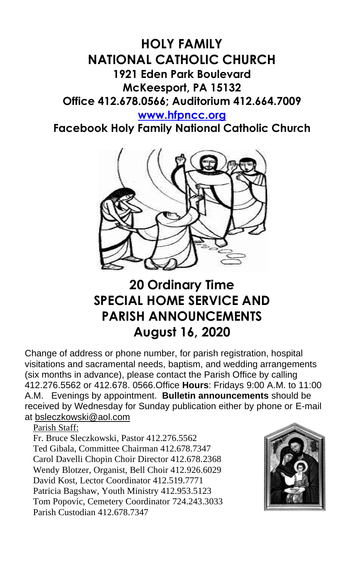## **HOLY FAMILY NATIONAL CATHOLIC CHURCH 1921 Eden Park Boulevard McKeesport, PA 15132 Office 412.678.0566; Auditorium 412.664.7009**

**[www.hfpncc.org](http://www.hfpncc.org/)**

**Facebook Holy Family National Catholic Church**



## **20 Ordinary Time SPECIAL HOME SERVICE AND PARISH ANNOUNCEMENTS August 16, 2020**

Change of address or phone number, for parish registration, hospital visitations and sacramental needs, baptism, and wedding arrangements (six months in advance), please contact the Parish Office by calling 412.276.5562 or 412.678. 0566.Office **Hours**: Fridays 9:00 A.M. to 11:00 A.M. Evenings by appointment. **Bulletin announcements** should be received by Wednesday for Sunday publication either by phone or E-mail at [bsleczkowski@aol.com](mailto:bsleczkowski@aol.com)

Parish Staff:

Fr. Bruce Sleczkowski, Pastor 412.276.5562 Ted Gibala, Committee Chairman 412.678.7347 Carol Davelli Chopin Choir Director 412.678.2368 Wendy Blotzer, Organist, Bell Choir 412.926.6029 David Kost, Lector Coordinator 412.519.7771 Patricia Bagshaw, Youth Ministry 412.953.5123 Tom Popovic, Cemetery Coordinator 724.243.3033 Parish Custodian 412.678.7347

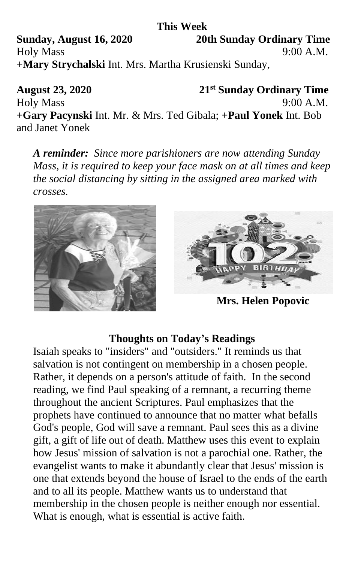**This Week Sunday, August 16, 2020 20th Sunday Ordinary Time** Holy Mass 9:00 A.M. **+Mary Strychalski** Int. Mrs. Martha Krusienski Sunday,

**August 23, 2020 21st Sunday Ordinary Time** Holy Mass 9:00 A.M. **+Gary Pacynski** Int. Mr. & Mrs. Ted Gibala; **+Paul Yonek** Int. Bob and Janet Yonek

*A reminder: Since more parishioners are now attending Sunday Mass, it is required to keep your face mask on at all times and keep the social distancing by sitting in the assigned area marked with crosses.*





 **Mrs. Helen Popovic** 

## **Thoughts on Today's Readings**

Isaiah speaks to "insiders" and "outsiders." It reminds us that salvation is not contingent on membership in a chosen people. Rather, it depends on a person's attitude of faith. In the second reading, we find Paul speaking of a remnant, a recurring theme throughout the ancient Scriptures. Paul emphasizes that the prophets have continued to announce that no matter what befalls God's people, God will save a remnant. Paul sees this as a divine gift, a gift of life out of death. Matthew uses this event to explain how Jesus' mission of salvation is not a parochial one. Rather, the evangelist wants to make it abundantly clear that Jesus' mission is one that extends beyond the house of Israel to the ends of the earth and to all its people. Matthew wants us to understand that membership in the chosen people is neither enough nor essential. What is enough, what is essential is active faith.